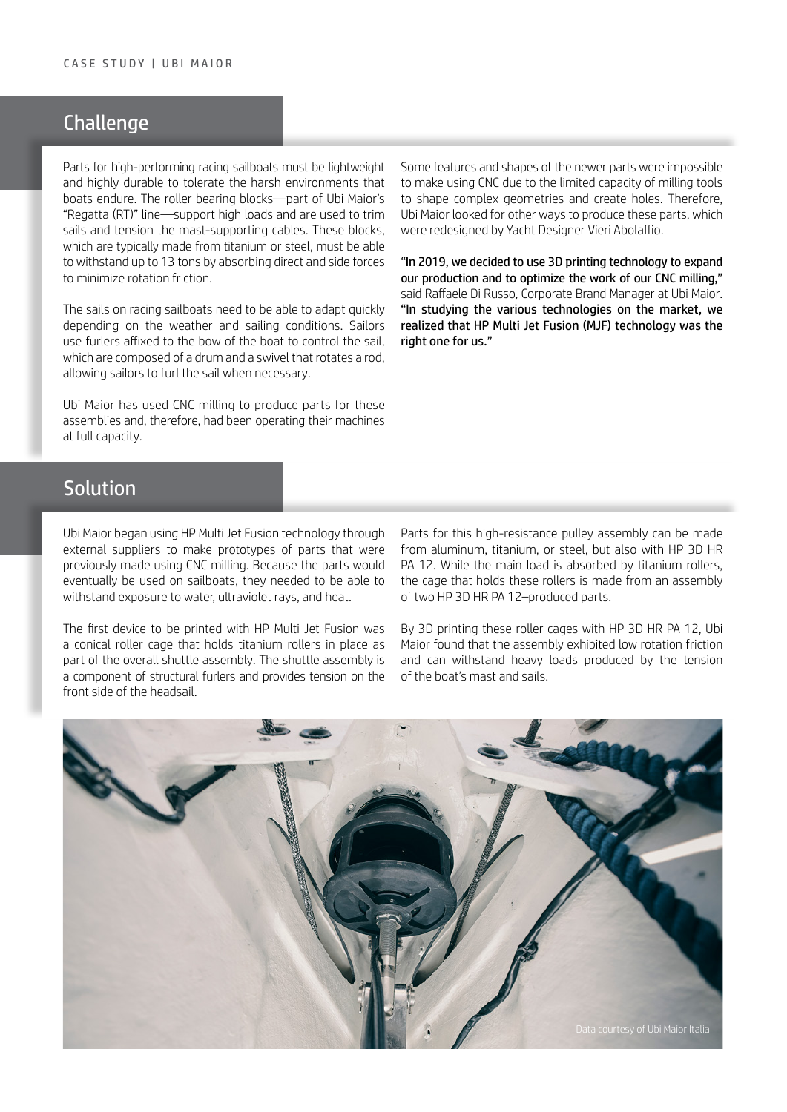## K mmk Ub<sub>I</sub>Y

Elementy żaglówek wyścigowych muszą być lekkiei bardzo wytrzymałe, aby sprostać nieprzyjaznym warunkom środowiska, w których pływają łodzie. Bloki łożysk wałeczkowych – część linii "Regatta (RT)" Ubi Maior, przenoszą duże obciążenia i służą do trymowania żagli i naprężania lin wspierających maszt. Bloki te, zazwyczaj wykonane z tytanu lub stali, muszą wytrzymać obciążenie do 13 ton poprzez pochłanianie sił bezpośrednich i bocznych, w celu minimalizacji tarcia obrotowego.

Żagle łodzi wyścigowych muszą zapewniać możliwość szybkiego dostosowania do warunków pogodowych i żeglarskich. Do sterowania żaglem żeglarze stosują rolery zamocowane do dzioba łodzi, składające się z bębna i krętlika obracającego prętem, co umożliwia załodze zwinięcie żagla w razie potrzeby.

Do wytwarzania elementów tych urządzeń firma Ubi Maior stosowała do tej pory frezowanie CNC, z wykorzystaniem pełnej przepustowości używanych urządzeń.

Niektórych elementów i kształtów nowszych części nie dało się wytworzyć techniką CNC z uwagi na ograniczone możliwości frezarek w zakresie tworzenia złożonych geometrii i otworów. Dlatego firma szukała innych sposobów wytwarzania tych komponentów, przeprojektowanych przez projektanta jachtów, Vieri Abolaffio.

.K fc i &\$% nXYVMoXck U] a mg] bUk m cfmod UbJY HYWbc`c[]]Xfi i '8XcfcngnYfnYb]UbUgnY^dfcXi Wi cfUncdma U]nUW]\_cgntek ZfYnck Ub]U 7B7" – powiedział Raffaele Di Russo, kierownik Marki Korporacyjnej w Ubi Maior. VDcXVMUgVUXUbJUfè bnW cVYVMMW bUfnb\_i HYWbc`c[]]nXU] a mgcVJY gdfUk ž YcXdck JYXbJúXU  $bUqVmU < DA$ i `h| >Yh: i q|cb f $A \geq C$ 

## Solution

Firma Ubi Maior zaczęła wykorzystywać technologię HP MJF z udziałem dostawców zewnętrznych, wykorzystując ją do tworzenia prototypów części wytwarzanych wcześniej poprzez frezowanie CNC. Ponieważ części były przeznaczone do żaglówek, musiały być odporne na działanie wody, promieniowania UV oraz ciepła.

Pierwszym urządzeniem wydrukowanym za pomocą HP Multi Jet Fusion była stożkowa klatka walcowa utrzymująca na miejscu tytanowe walce, stanowiące część większego zespołu wózka. Zespół wózka to element rolerów strukturalnych, zapewniający naprężenie frontowej części przedniego żagla.

Elementy tego zespołu krążków o wysokiej wytrzymałości można wykonać z aluminium, tytanu lub stali, ale też z HP 3D HR PA 12. Tytanowe wałki pochłaniają główną część obciążenia, ale przytrzymująca je klatka składa się z zespołu dwóch części wykonanych z HP 3D HR PA 12.

Po trójwymiarowym wytworzeniu tych klatek z HP 3D HR PA 12, firma Ubi Maior stwierdziła, iż zespół wykazywał niskie tarcie obrotowe i mógł wytrzymać wysokie obciążenia wytwarzane przez naprężenie masztu i żagli łodzi.